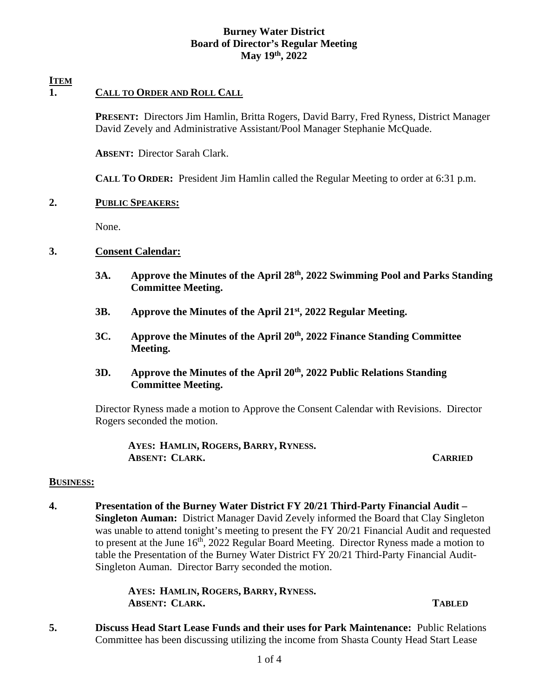# **Burney Water District Board of Director's Regular Meeting May 19th, 2022**

## **ITEM**

# **1. CALL TO ORDER AND ROLL CALL**

 **PRESENT:** Directors Jim Hamlin, Britta Rogers, David Barry, Fred Ryness, District Manager David Zevely and Administrative Assistant/Pool Manager Stephanie McQuade.

 **ABSENT:** Director Sarah Clark.

 **CALL TO ORDER:** President Jim Hamlin called the Regular Meeting to order at 6:31 p.m.

### **2. PUBLIC SPEAKERS:**

None.

# **3. Consent Calendar:**

- **3A. Approve the Minutes of the April 28th, 2022 Swimming Pool and Parks Standing Committee Meeting.**
- **3B. Approve the Minutes of the April 21st, 2022 Regular Meeting.**
- **3C. Approve the Minutes of the April 20th, 2022 Finance Standing Committee Meeting.**

## **3D. Approve the Minutes of the April 20th, 2022 Public Relations Standing Committee Meeting.**

Director Ryness made a motion to Approve the Consent Calendar with Revisions. Director Rogers seconded the motion.

 **AYES: HAMLIN, ROGERS, BARRY, RYNESS. ABSENT: CLARK. CARRIED**

### **BUSINESS:**

**4. Presentation of the Burney Water District FY 20/21 Third-Party Financial Audit – Singleton Auman:** District Manager David Zevely informed the Board that Clay Singleton was unable to attend tonight's meeting to present the FY 20/21 Financial Audit and requested to present at the June 16<sup>th</sup>, 2022 Regular Board Meeting. Director Ryness made a motion to table the Presentation of the Burney Water District FY 20/21 Third-Party Financial Audit-Singleton Auman. Director Barry seconded the motion.

> **AYES: HAMLIN, ROGERS, BARRY, RYNESS. ABSENT: CLARK. TABLED**

**5. Discuss Head Start Lease Funds and their uses for Park Maintenance:** Public Relations Committee has been discussing utilizing the income from Shasta County Head Start Lease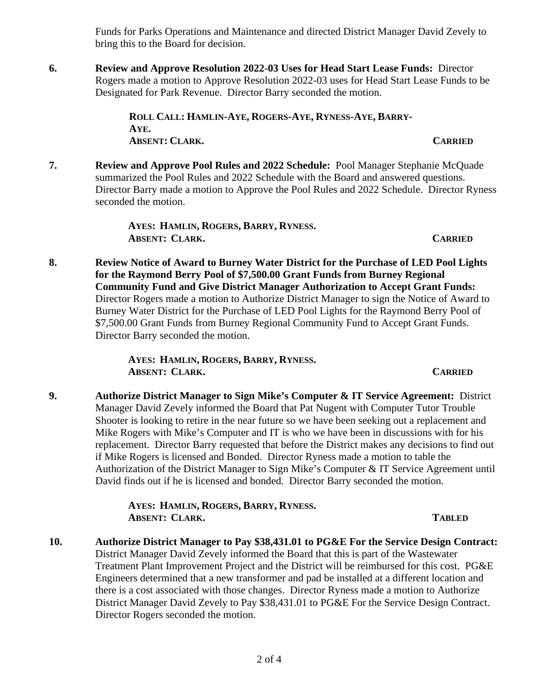Funds for Parks Operations and Maintenance and directed District Manager David Zevely to bring this to the Board for decision.

**6. Review and Approve Resolution 2022-03 Uses for Head Start Lease Funds:** Director Rogers made a motion to Approve Resolution 2022-03 uses for Head Start Lease Funds to be Designated for Park Revenue. Director Barry seconded the motion.

> **ROLL CALL: HAMLIN-AYE, ROGERS-AYE, RYNESS-AYE, BARRY-AYE. ABSENT: CLARK. CARRIED**

**7. Review and Approve Pool Rules and 2022 Schedule:** Pool Manager Stephanie McQuade summarized the Pool Rules and 2022 Schedule with the Board and answered questions. Director Barry made a motion to Approve the Pool Rules and 2022 Schedule. Director Ryness seconded the motion.

> **AYES: HAMLIN, ROGERS, BARRY, RYNESS. ABSENT: CLARK. CARRIED**

**8. Review Notice of Award to Burney Water District for the Purchase of LED Pool Lights for the Raymond Berry Pool of \$7,500.00 Grant Funds from Burney Regional Community Fund and Give District Manager Authorization to Accept Grant Funds:**  Director Rogers made a motion to Authorize District Manager to sign the Notice of Award to Burney Water District for the Purchase of LED Pool Lights for the Raymond Berry Pool of \$7,500.00 Grant Funds from Burney Regional Community Fund to Accept Grant Funds. Director Barry seconded the motion.

> **AYES: HAMLIN, ROGERS, BARRY, RYNESS. ABSENT: CLARK. CARRIED**

**9. Authorize District Manager to Sign Mike's Computer & IT Service Agreement:** District Manager David Zevely informed the Board that Pat Nugent with Computer Tutor Trouble Shooter is looking to retire in the near future so we have been seeking out a replacement and Mike Rogers with Mike's Computer and IT is who we have been in discussions with for his replacement. Director Barry requested that before the District makes any decisions to find out if Mike Rogers is licensed and Bonded. Director Ryness made a motion to table the Authorization of the District Manager to Sign Mike's Computer & IT Service Agreement until David finds out if he is licensed and bonded. Director Barry seconded the motion.

> **AYES: HAMLIN, ROGERS, BARRY, RYNESS. ABSENT: CLARK. TABLED**

**10. Authorize District Manager to Pay \$38,431.01 to PG&E For the Service Design Contract:** District Manager David Zevely informed the Board that this is part of the Wastewater Treatment Plant Improvement Project and the District will be reimbursed for this cost. PG&E Engineers determined that a new transformer and pad be installed at a different location and there is a cost associated with those changes. Director Ryness made a motion to Authorize District Manager David Zevely to Pay \$38,431.01 to PG&E For the Service Design Contract. Director Rogers seconded the motion.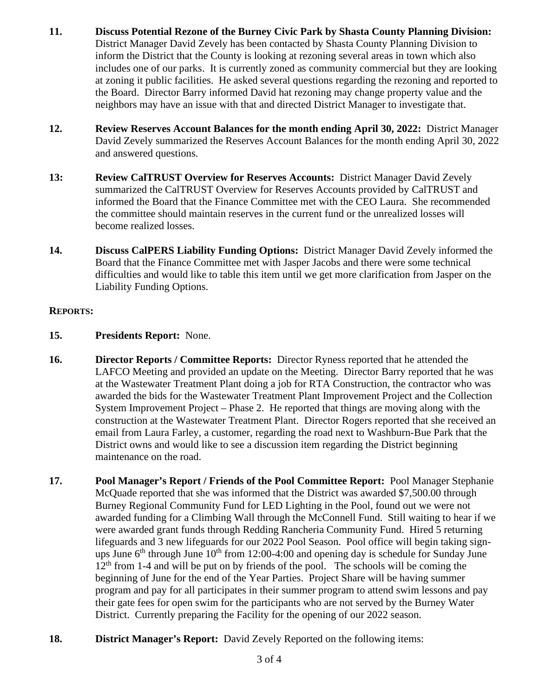- **11. Discuss Potential Rezone of the Burney Civic Park by Shasta County Planning Division:**  District Manager David Zevely has been contacted by Shasta County Planning Division to inform the District that the County is looking at rezoning several areas in town which also includes one of our parks. It is currently zoned as community commercial but they are looking at zoning it public facilities. He asked several questions regarding the rezoning and reported to the Board. Director Barry informed David hat rezoning may change property value and the neighbors may have an issue with that and directed District Manager to investigate that.
- **12. Review Reserves Account Balances for the month ending April 30, 2022:** District Manager David Zevely summarized the Reserves Account Balances for the month ending April 30, 2022 and answered questions.
- **13: Review CalTRUST Overview for Reserves Accounts:** District Manager David Zevely summarized the CalTRUST Overview for Reserves Accounts provided by CalTRUST and informed the Board that the Finance Committee met with the CEO Laura. She recommended the committee should maintain reserves in the current fund or the unrealized losses will become realized losses.
- **14. Discuss CalPERS Liability Funding Options:** District Manager David Zevely informed the Board that the Finance Committee met with Jasper Jacobs and there were some technical difficulties and would like to table this item until we get more clarification from Jasper on the Liability Funding Options.

# **REPORTS:**

- **15. Presidents Report:** None.
- **16. Director Reports / Committee Reports:** Director Ryness reported that he attended the LAFCO Meeting and provided an update on the Meeting. Director Barry reported that he was at the Wastewater Treatment Plant doing a job for RTA Construction, the contractor who was awarded the bids for the Wastewater Treatment Plant Improvement Project and the Collection System Improvement Project – Phase 2. He reported that things are moving along with the construction at the Wastewater Treatment Plant. Director Rogers reported that she received an email from Laura Farley, a customer, regarding the road next to Washburn-Bue Park that the District owns and would like to see a discussion item regarding the District beginning maintenance on the road.
- **17. Pool Manager's Report / Friends of the Pool Committee Report:** Pool Manager Stephanie McQuade reported that she was informed that the District was awarded \$7,500.00 through Burney Regional Community Fund for LED Lighting in the Pool, found out we were not awarded funding for a Climbing Wall through the McConnell Fund. Still waiting to hear if we were awarded grant funds through Redding Rancheria Community Fund. Hired 5 returning lifeguards and 3 new lifeguards for our 2022 Pool Season. Pool office will begin taking signups June  $6<sup>th</sup>$  through June  $10<sup>th</sup>$  from 12:00-4:00 and opening day is schedule for Sunday June  $12<sup>th</sup>$  from 1-4 and will be put on by friends of the pool. The schools will be coming the beginning of June for the end of the Year Parties. Project Share will be having summer program and pay for all participates in their summer program to attend swim lessons and pay their gate fees for open swim for the participants who are not served by the Burney Water District. Currently preparing the Facility for the opening of our 2022 season.
- **18. District Manager's Report:** David Zevely Reported on the following items: